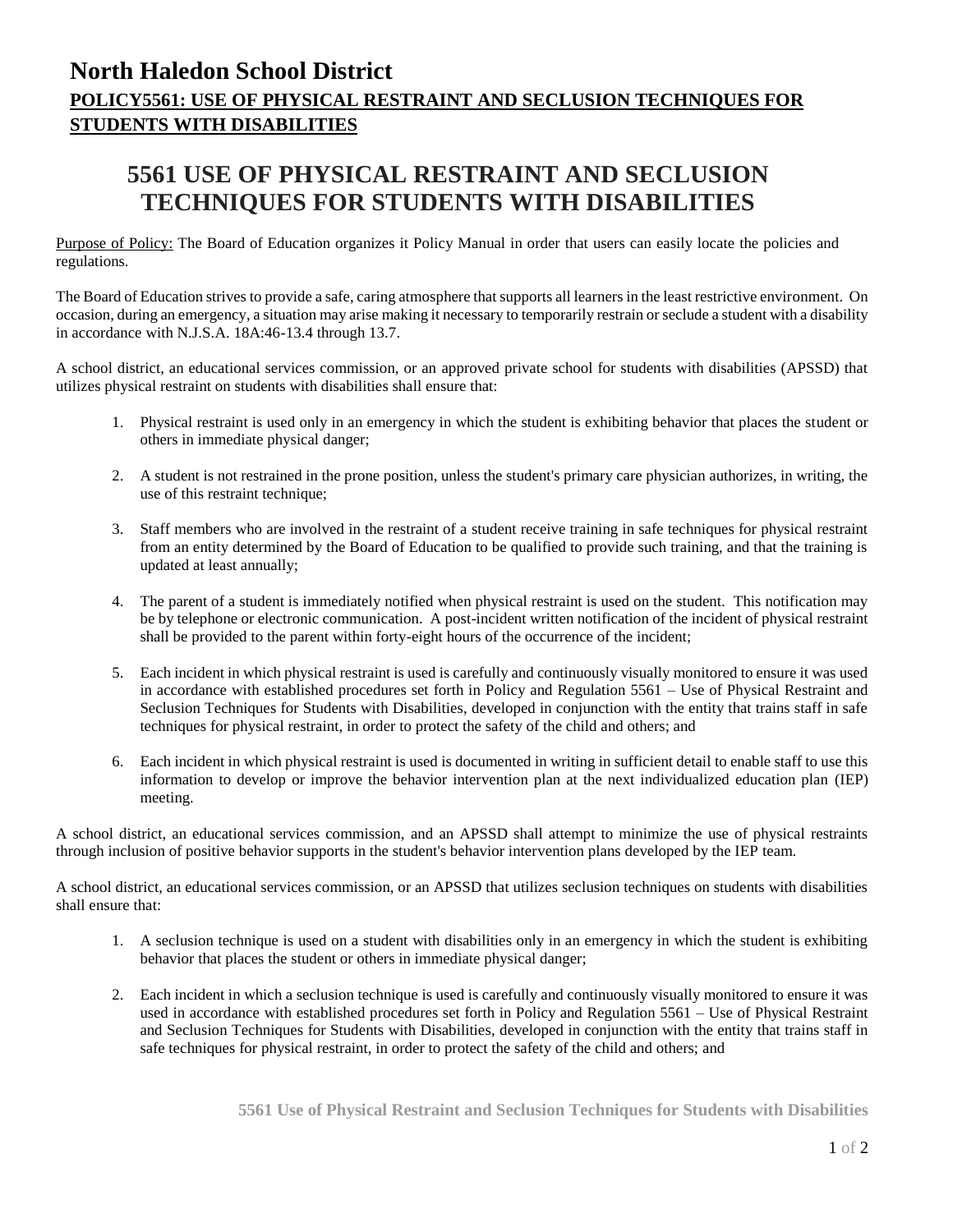## **North Haledon School District POLICY5561: USE OF PHYSICAL RESTRAINT AND SECLUSION TECHNIQUES FOR STUDENTS WITH DISABILITIES**

## **5561 USE OF PHYSICAL RESTRAINT AND SECLUSION TECHNIQUES FOR STUDENTS WITH DISABILITIES**

Purpose of Policy: The Board of Education organizes it Policy Manual in order that users can easily locate the policies and regulations.

The Board of Education strives to provide a safe, caring atmosphere that supports all learners in the least restrictive environment. On occasion, during an emergency, a situation may arise making it necessary to temporarily restrain or seclude a student with a disability in accordance with N.J.S.A. 18A:46-13.4 through 13.7.

A school district, an educational services commission, or an approved private school for students with disabilities (APSSD) that utilizes physical restraint on students with disabilities shall ensure that:

- 1. Physical restraint is used only in an emergency in which the student is exhibiting behavior that places the student or others in immediate physical danger;
- 2. A student is not restrained in the prone position, unless the student's primary care physician authorizes, in writing, the use of this restraint technique;
- 3. Staff members who are involved in the restraint of a student receive training in safe techniques for physical restraint from an entity determined by the Board of Education to be qualified to provide such training, and that the training is updated at least annually;
- 4. The parent of a student is immediately notified when physical restraint is used on the student. This notification may be by telephone or electronic communication. A post-incident written notification of the incident of physical restraint shall be provided to the parent within forty-eight hours of the occurrence of the incident;
- 5. Each incident in which physical restraint is used is carefully and continuously visually monitored to ensure it was used in accordance with established procedures set forth in Policy and Regulation 5561 – Use of Physical Restraint and Seclusion Techniques for Students with Disabilities, developed in conjunction with the entity that trains staff in safe techniques for physical restraint, in order to protect the safety of the child and others; and
- 6. Each incident in which physical restraint is used is documented in writing in sufficient detail to enable staff to use this information to develop or improve the behavior intervention plan at the next individualized education plan (IEP) meeting.

A school district, an educational services commission, and an APSSD shall attempt to minimize the use of physical restraints through inclusion of positive behavior supports in the student's behavior intervention plans developed by the IEP team.

A school district, an educational services commission, or an APSSD that utilizes seclusion techniques on students with disabilities shall ensure that:

- 1. A seclusion technique is used on a student with disabilities only in an emergency in which the student is exhibiting behavior that places the student or others in immediate physical danger;
- 2. Each incident in which a seclusion technique is used is carefully and continuously visually monitored to ensure it was used in accordance with established procedures set forth in Policy and Regulation 5561 – Use of Physical Restraint and Seclusion Techniques for Students with Disabilities, developed in conjunction with the entity that trains staff in safe techniques for physical restraint, in order to protect the safety of the child and others; and

**5561 Use of Physical Restraint and Seclusion Techniques for Students with Disabilities**